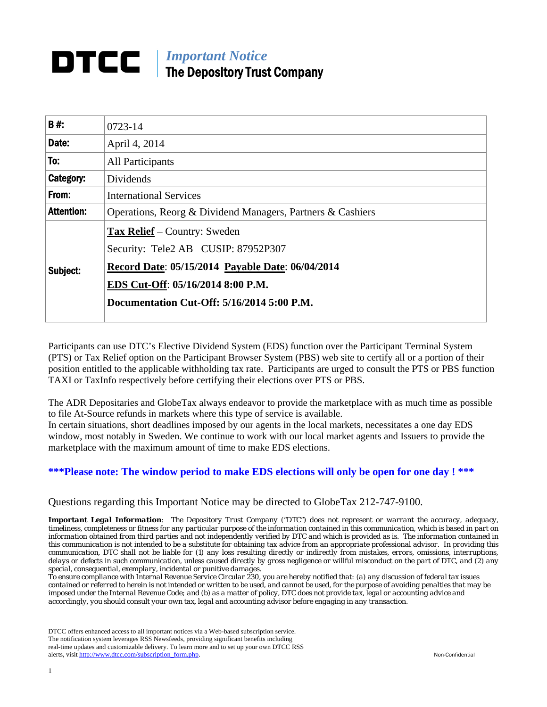# *Important Notice*  The Depository Trust Company

| B#:               | 0723-14                                                    |  |  |
|-------------------|------------------------------------------------------------|--|--|
| Date:             | April 4, 2014                                              |  |  |
| To:               | All Participants                                           |  |  |
| Category:         | Dividends                                                  |  |  |
| From:             | <b>International Services</b>                              |  |  |
| <b>Attention:</b> | Operations, Reorg & Dividend Managers, Partners & Cashiers |  |  |
|                   | <b>Tax Relief</b> – Country: Sweden                        |  |  |
|                   | Security: Tele2 AB CUSIP: 87952P307                        |  |  |
| Subject:          | Record Date: 05/15/2014 Payable Date: 06/04/2014           |  |  |
|                   | EDS Cut-Off: 05/16/2014 8:00 P.M.                          |  |  |
|                   | Documentation Cut-Off: 5/16/2014 5:00 P.M.                 |  |  |
|                   |                                                            |  |  |

Participants can use DTC's Elective Dividend System (EDS) function over the Participant Terminal System (PTS) or Tax Relief option on the Participant Browser System (PBS) web site to certify all or a portion of their position entitled to the applicable withholding tax rate. Participants are urged to consult the PTS or PBS function TAXI or TaxInfo respectively before certifying their elections over PTS or PBS.

The ADR Depositaries and GlobeTax always endeavor to provide the marketplace with as much time as possible to file At-Source refunds in markets where this type of service is available.

In certain situations, short deadlines imposed by our agents in the local markets, necessitates a one day EDS window, most notably in Sweden. We continue to work with our local market agents and Issuers to provide the marketplace with the maximum amount of time to make EDS elections.

## **\*\*\*Please note: The window period to make EDS elections will only be open for one day ! \*\*\***

Questions regarding this Important Notice may be directed to GlobeTax 212-747-9100.

*Important Legal Information: The Depository Trust Company ("DTC") does not represent or warrant the accuracy, adequacy, timeliness, completeness or fitness for any particular purpose of the information contained in this communication, which is based in part on information obtained from third parties and not independently verified by DTC and which is provided as is. The information contained in this communication is not intended to be a substitute for obtaining tax advice from an appropriate professional advisor. In providing this communication, DTC shall not be liable for (1) any loss resulting directly or indirectly from mistakes, errors, omissions, interruptions, delays or defects in such communication, unless caused directly by gross negligence or willful misconduct on the part of DTC, and (2) any special, consequential, exemplary, incidental or punitive damages.* 

*To ensure compliance with Internal Revenue Service Circular 230, you are hereby notified that: (a) any discussion of federal tax issues contained or referred to herein is not intended or written to be used, and cannot be used, for the purpose of avoiding penalties that may be imposed under the Internal Revenue Code; and (b) as a matter of policy, DTC does not provide tax, legal or accounting advice and accordingly, you should consult your own tax, legal and accounting advisor before engaging in any transaction.*

DTCC offers enhanced access to all important notices via a Web-based subscription service. The notification system leverages RSS Newsfeeds, providing significant benefits including real-time updates and customizable delivery. To learn more and to set up your own DTCC RSS alerts, visit http://www.dtcc.com/subscription\_form.php. Non-Confidential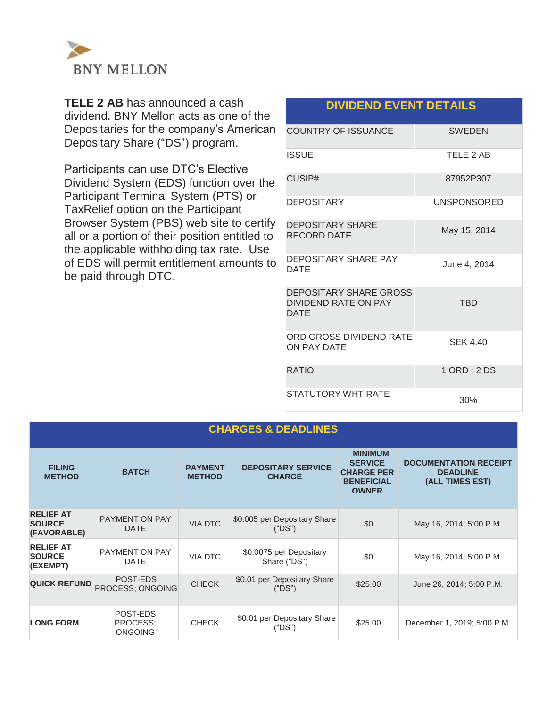

**TELE 2 AB** has announced a cash dividend. BNY Mellon acts as one of the Depositaries for the company's American Depositary Share ("DS") program.

Participants can use DTC's Elective Dividend System (EDS) function over the Participant Terminal System (PTS) or TaxRelief option on the Participant Browser System (PBS) web site to certify all or a portion of their position entitled to the applicable withholding tax rate. Use of EDS will permit entitlement amounts to be paid through DTC.

# **DIVIDEND EVENT DETAILS**

| <b>COUNTRY OF ISSUANCE</b>                                    | <b>SWEDEN</b>      |
|---------------------------------------------------------------|--------------------|
| <b>ISSUE</b>                                                  | TELE 2 AB          |
| CUSIP#                                                        | 87952P307          |
| <b>DEPOSITARY</b>                                             | <b>UNSPONSORED</b> |
| <b>DEPOSITARY SHARE</b><br><b>RECORD DATE</b>                 | May 15, 2014       |
| DEPOSITARY SHARE PAY<br><b>DATF</b>                           | June 4, 2014       |
| DEPOSITARY SHARE GROSS<br>DIVIDEND RATE ON PAY<br><b>DATE</b> | <b>TRD</b>         |
| ORD GROSS DIVIDEND RATE<br>ON PAY DATE                        | <b>SEK 4.40</b>    |
| <b>RATIO</b>                                                  | 1 ORD : 2 DS       |
| STATUTORY WHT RATE                                            | 30%                |

# **CHARGES & DEADLINES**

| <b>FILING</b><br><b>METHOD</b>                   | <b>BATCH</b>                           | <b>PAYMENT</b><br><b>METHOD</b> | <b>DEPOSITARY SERVICE</b><br><b>CHARGE</b> | <b>MINIMUM</b><br><b>SERVICE</b><br><b>CHARGE PER</b><br><b>BENEFICIAL</b><br><b>OWNER</b> | <b>DOCUMENTATION RECEIPT</b><br><b>DEADLINE</b><br>(ALL TIMES EST) |
|--------------------------------------------------|----------------------------------------|---------------------------------|--------------------------------------------|--------------------------------------------------------------------------------------------|--------------------------------------------------------------------|
| <b>RELIEF AT</b><br><b>SOURCE</b><br>(FAVORABLE) | <b>PAYMENT ON PAY</b><br><b>DATE</b>   | <b>VIA DTC</b>                  | \$0.005 per Depositary Share<br>("DS")     | \$0                                                                                        | May 16, 2014; 5:00 P.M.                                            |
| <b>RELIEF AT</b><br><b>SOURCE</b><br>(EXEMPT)    | <b>PAYMENT ON PAY</b><br><b>DATE</b>   | <b>VIA DTC</b>                  | \$0.0075 per Depositary<br>Share ("DS")    | \$0                                                                                        | May 16, 2014; 5:00 P.M.                                            |
| <b>QUICK REFUND</b>                              | POST-EDS<br><b>PROCESS: ONGOING</b>    | <b>CHECK</b>                    | \$0.01 per Depositary Share<br>("DS")      | \$25.00                                                                                    | June 26, 2014; 5:00 P.M.                                           |
| <b>LONG FORM</b>                                 | POST-EDS<br>PROCESS:<br><b>ONGOING</b> | <b>CHECK</b>                    | \$0.01 per Depositary Share<br>("DS")      | \$25.00                                                                                    | December 1, 2019; 5:00 P.M.                                        |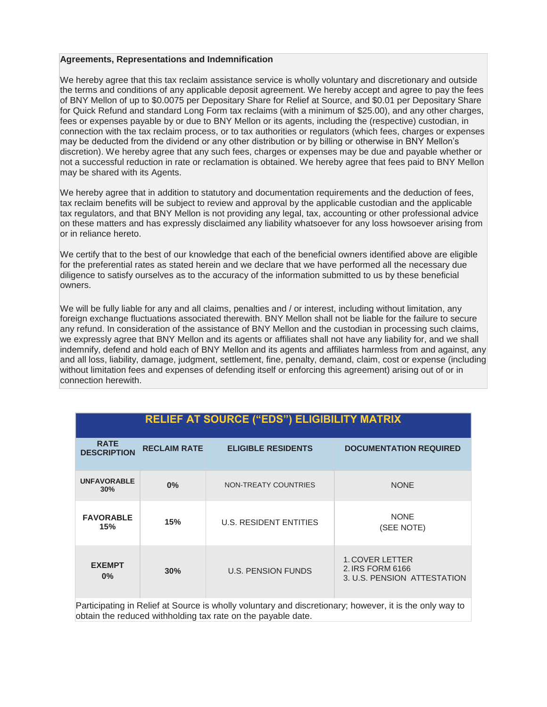#### **Agreements, Representations and Indemnification**

We hereby agree that this tax reclaim assistance service is wholly voluntary and discretionary and outside the terms and conditions of any applicable deposit agreement. We hereby accept and agree to pay the fees of BNY Mellon of up to \$0.0075 per Depositary Share for Relief at Source, and \$0.01 per Depositary Share for Quick Refund and standard Long Form tax reclaims (with a minimum of \$25.00), and any other charges, fees or expenses payable by or due to BNY Mellon or its agents, including the (respective) custodian, in connection with the tax reclaim process, or to tax authorities or regulators (which fees, charges or expenses may be deducted from the dividend or any other distribution or by billing or otherwise in BNY Mellon's discretion). We hereby agree that any such fees, charges or expenses may be due and payable whether or not a successful reduction in rate or reclamation is obtained. We hereby agree that fees paid to BNY Mellon may be shared with its Agents.

We hereby agree that in addition to statutory and documentation requirements and the deduction of fees, tax reclaim benefits will be subject to review and approval by the applicable custodian and the applicable tax regulators, and that BNY Mellon is not providing any legal, tax, accounting or other professional advice on these matters and has expressly disclaimed any liability whatsoever for any loss howsoever arising from or in reliance hereto.

We certify that to the best of our knowledge that each of the beneficial owners identified above are eligible for the preferential rates as stated herein and we declare that we have performed all the necessary due diligence to satisfy ourselves as to the accuracy of the information submitted to us by these beneficial owners.

We will be fully liable for any and all claims, penalties and / or interest, including without limitation, any foreign exchange fluctuations associated therewith. BNY Mellon shall not be liable for the failure to secure any refund. In consideration of the assistance of BNY Mellon and the custodian in processing such claims, we expressly agree that BNY Mellon and its agents or affiliates shall not have any liability for, and we shall indemnify, defend and hold each of BNY Mellon and its agents and affiliates harmless from and against, any and all loss, liability, damage, judgment, settlement, fine, penalty, demand, claim, cost or expense (including without limitation fees and expenses of defending itself or enforcing this agreement) arising out of or in connection herewith.

| <b>RELIEF AT SOURCE ("EDS") ELIGIBILITY MATRIX</b> |                     |                               |                                                                           |  |  |
|----------------------------------------------------|---------------------|-------------------------------|---------------------------------------------------------------------------|--|--|
| <b>RATE</b><br><b>DESCRIPTION</b>                  | <b>RECLAIM RATE</b> | <b>ELIGIBLE RESIDENTS</b>     | <b>DOCUMENTATION REQUIRED</b>                                             |  |  |
| <b>UNFAVORABLE</b><br>30%                          | 0%                  | NON-TREATY COUNTRIES          | <b>NONE</b>                                                               |  |  |
| <b>FAVORABLE</b><br>15%                            | 15%                 | <b>U.S. RESIDENT ENTITIES</b> | <b>NONE</b><br>(SEE NOTE)                                                 |  |  |
| <b>EXEMPT</b><br>$0\%$                             | 30%                 | <b>U.S. PENSION FUNDS</b>     | <b>1. COVER LETTER</b><br>2. IRS FORM 6166<br>3. U.S. PENSION ATTESTATION |  |  |

Participating in Relief at Source is wholly voluntary and discretionary; however, it is the only way to obtain the reduced withholding tax rate on the payable date.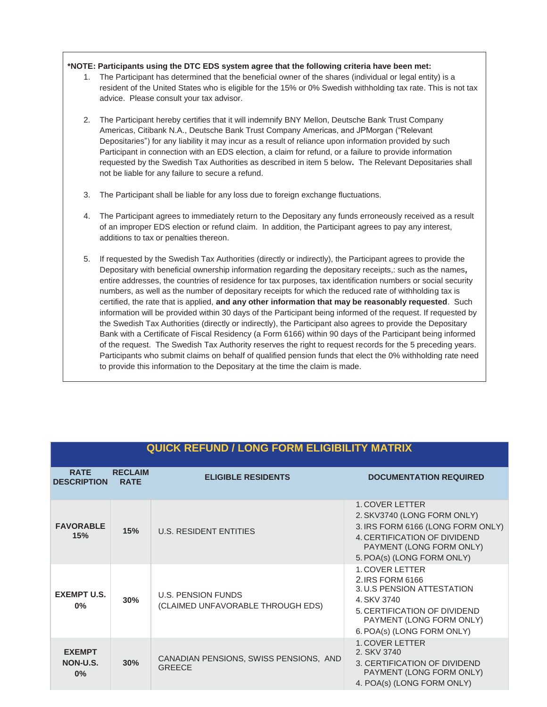#### **\*NOTE: Participants using the DTC EDS system agree that the following criteria have been met:**

- 1. The Participant has determined that the beneficial owner of the shares (individual or legal entity) is a resident of the United States who is eligible for the 15% or 0% Swedish withholding tax rate. This is not tax advice. Please consult your tax advisor.
- 2. The Participant hereby certifies that it will indemnify BNY Mellon, Deutsche Bank Trust Company Americas, Citibank N.A., Deutsche Bank Trust Company Americas, and JPMorgan ("Relevant Depositaries") for any liability it may incur as a result of reliance upon information provided by such Participant in connection with an EDS election, a claim for refund, or a failure to provide information requested by the Swedish Tax Authorities as described in item 5 below**.** The Relevant Depositaries shall not be liable for any failure to secure a refund.
- 3. The Participant shall be liable for any loss due to foreign exchange fluctuations.
- 4. The Participant agrees to immediately return to the Depositary any funds erroneously received as a result of an improper EDS election or refund claim. In addition, the Participant agrees to pay any interest, additions to tax or penalties thereon.
- 5. If requested by the Swedish Tax Authorities (directly or indirectly), the Participant agrees to provide the Depositary with beneficial ownership information regarding the depositary receipts,: such as the names*,*  entire addresses, the countries of residence for tax purposes, tax identification numbers or social security numbers, as well as the number of depositary receipts for which the reduced rate of withholding tax is certified, the rate that is applied, **and any other information that may be reasonably requested**. Such information will be provided within 30 days of the Participant being informed of the request. If requested by the Swedish Tax Authorities (directly or indirectly), the Participant also agrees to provide the Depositary Bank with a Certificate of Fiscal Residency (a Form 6166) within 90 days of the Participant being informed of the request. The Swedish Tax Authority reserves the right to request records for the 5 preceding years. Participants who submit claims on behalf of qualified pension funds that elect the 0% withholding rate need to provide this information to the Depositary at the time the claim is made.

| <b>QUICK REFUND / LONG FORM ELIGIBILITY MATRIX</b> |                               |                                                                |                                                                                                                                                                                   |  |  |
|----------------------------------------------------|-------------------------------|----------------------------------------------------------------|-----------------------------------------------------------------------------------------------------------------------------------------------------------------------------------|--|--|
| <b>RATE</b><br><b>DESCRIPTION</b>                  | <b>RECLAIM</b><br><b>RATE</b> | <b>ELIGIBLE RESIDENTS</b>                                      | <b>DOCUMENTATION REQUIRED</b>                                                                                                                                                     |  |  |
| <b>FAVORABLE</b><br>15%                            | 15%                           | <b>U.S. RESIDENT ENTITIES</b>                                  | 1. COVER LETTER<br>2. SKV3740 (LONG FORM ONLY)<br>3. IRS FORM 6166 (LONG FORM ONLY)<br>4. CERTIFICATION OF DIVIDEND<br>PAYMENT (LONG FORM ONLY)<br>5. POA(s) (LONG FORM ONLY)     |  |  |
| <b>EXEMPT U.S.</b><br>0%                           | 30%                           | <b>U.S. PENSION FUNDS</b><br>(CLAIMED UNFAVORABLE THROUGH EDS) | <b>1. COVER LETTER</b><br>2. IRS FORM 6166<br>3. U.S PENSION ATTESTATION<br>4. SKV 3740<br>5. CERTIFICATION OF DIVIDEND<br>PAYMENT (LONG FORM ONLY)<br>6. POA(s) (LONG FORM ONLY) |  |  |
| <b>EXEMPT</b><br>NON-U.S.<br>0%                    | 30%                           | CANADIAN PENSIONS, SWISS PENSIONS, AND<br><b>GREECE</b>        | <b>1. COVER LETTER</b><br>2. SKV 3740<br>3. CERTIFICATION OF DIVIDEND<br>PAYMENT (LONG FORM ONLY)<br>4. POA(s) (LONG FORM ONLY)                                                   |  |  |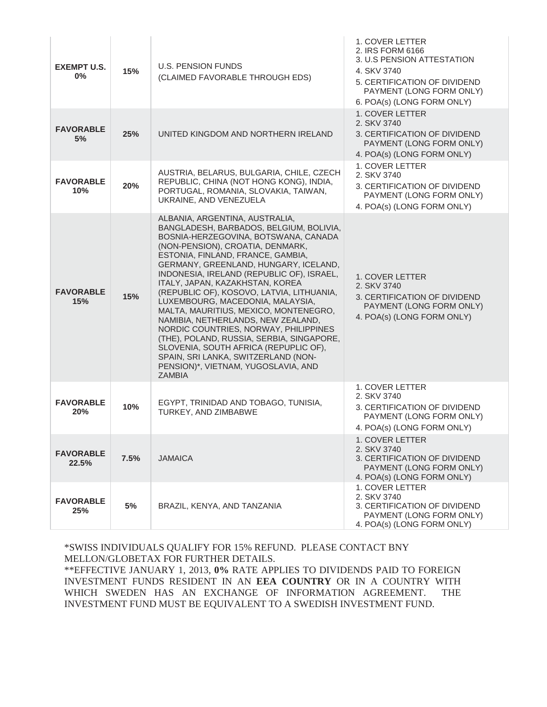| <b>EXEMPT U.S.</b><br>$0\%$ | 15%  | <b>U.S. PENSION FUNDS</b><br>(CLAIMED FAVORABLE THROUGH EDS)                                                                                                                                                                                                                                                                                                                                                                                                                                                                                                                                                                                                                                                      | 1. COVER LETTER<br>2. IRS FORM 6166<br>3. U.S PENSION ATTESTATION<br>4. SKV 3740<br>5. CERTIFICATION OF DIVIDEND<br>PAYMENT (LONG FORM ONLY)<br>6. POA(s) (LONG FORM ONLY) |
|-----------------------------|------|-------------------------------------------------------------------------------------------------------------------------------------------------------------------------------------------------------------------------------------------------------------------------------------------------------------------------------------------------------------------------------------------------------------------------------------------------------------------------------------------------------------------------------------------------------------------------------------------------------------------------------------------------------------------------------------------------------------------|----------------------------------------------------------------------------------------------------------------------------------------------------------------------------|
| <b>FAVORABLE</b><br>5%      | 25%  | UNITED KINGDOM AND NORTHERN IRELAND                                                                                                                                                                                                                                                                                                                                                                                                                                                                                                                                                                                                                                                                               | 1. COVER LETTER<br>2. SKV 3740<br>3. CERTIFICATION OF DIVIDEND<br>PAYMENT (LONG FORM ONLY)<br>4. POA(s) (LONG FORM ONLY)                                                   |
| <b>FAVORABLE</b><br>10%     | 20%  | AUSTRIA, BELARUS, BULGARIA, CHILE, CZECH<br>REPUBLIC, CHINA (NOT HONG KONG), INDIA,<br>PORTUGAL, ROMANIA, SLOVAKIA, TAIWAN,<br>UKRAINE, AND VENEZUELA                                                                                                                                                                                                                                                                                                                                                                                                                                                                                                                                                             | 1. COVER LETTER<br>2. SKV 3740<br>3. CERTIFICATION OF DIVIDEND<br>PAYMENT (LONG FORM ONLY)<br>4. POA(s) (LONG FORM ONLY)                                                   |
| <b>FAVORABLE</b><br>15%     | 15%  | ALBANIA, ARGENTINA, AUSTRALIA,<br>BANGLADESH, BARBADOS, BELGIUM, BOLIVIA,<br>BOSNIA-HERZEGOVINA, BOTSWANA, CANADA<br>(NON-PENSION), CROATIA, DENMARK,<br>ESTONIA, FINLAND, FRANCE, GAMBIA,<br>GERMANY, GREENLAND, HUNGARY, ICELAND,<br>INDONESIA, IRELAND (REPUBLIC OF), ISRAEL,<br>ITALY, JAPAN, KAZAKHSTAN, KOREA<br>(REPUBLIC OF), KOSOVO, LATVIA, LITHUANIA,<br>LUXEMBOURG, MACEDONIA, MALAYSIA,<br>MALTA, MAURITIUS, MEXICO, MONTENEGRO,<br>NAMIBIA, NETHERLANDS, NEW ZEALAND,<br>NORDIC COUNTRIES, NORWAY, PHILIPPINES<br>(THE), POLAND, RUSSIA, SERBIA, SINGAPORE,<br>SLOVENIA, SOUTH AFRICA (REPUPLIC OF),<br>SPAIN, SRI LANKA, SWITZERLAND (NON-<br>PENSION)*, VIETNAM, YUGOSLAVIA, AND<br><b>ZAMBIA</b> | 1. COVER LETTER<br>2. SKV 3740<br>3. CERTIFICATION OF DIVIDEND<br>PAYMENT (LONG FORM ONLY)<br>4. POA(s) (LONG FORM ONLY)                                                   |
| <b>FAVORABLE</b><br>20%     | 10%  | EGYPT, TRINIDAD AND TOBAGO, TUNISIA,<br>TURKEY, AND ZIMBABWE                                                                                                                                                                                                                                                                                                                                                                                                                                                                                                                                                                                                                                                      | 1. COVER LETTER<br>2. SKV 3740<br>3. CERTIFICATION OF DIVIDEND<br>PAYMENT (LONG FORM ONLY)<br>4. POA(s) (LONG FORM ONLY)                                                   |
| <b>FAVORABLE</b><br>22.5%   | 7.5% | <b>JAMAICA</b>                                                                                                                                                                                                                                                                                                                                                                                                                                                                                                                                                                                                                                                                                                    | 1. COVER LETTER<br>2. SKV 3740<br>3. CERTIFICATION OF DIVIDEND<br>PAYMENT (LONG FORM ONLY)<br>4. POA(s) (LONG FORM ONLY)                                                   |
| <b>FAVORABLE</b><br>25%     | 5%   | BRAZIL, KENYA, AND TANZANIA                                                                                                                                                                                                                                                                                                                                                                                                                                                                                                                                                                                                                                                                                       | 1. COVER LETTER<br>2. SKV 3740<br>3. CERTIFICATION OF DIVIDEND<br>PAYMENT (LONG FORM ONLY)<br>4. POA(s) (LONG FORM ONLY)                                                   |

\*SWISS INDIVIDUALS QUALIFY FOR 15% REFUND. PLEASE CONTACT BNY MELLON/GLOBETAX FOR FURTHER DETAILS.

\*\*EFFECTIVE JANUARY 1, 2013, **0%** RATE APPLIES TO DIVIDENDS PAID TO FOREIGN INVESTMENT FUNDS RESIDENT IN AN **EEA COUNTRY** OR IN A COUNTRY WITH WHICH SWEDEN HAS AN EXCHANGE OF INFORMATION AGREEMENT. THE INVESTMENT FUND MUST BE EQUIVALENT TO A SWEDISH INVESTMENT FUND.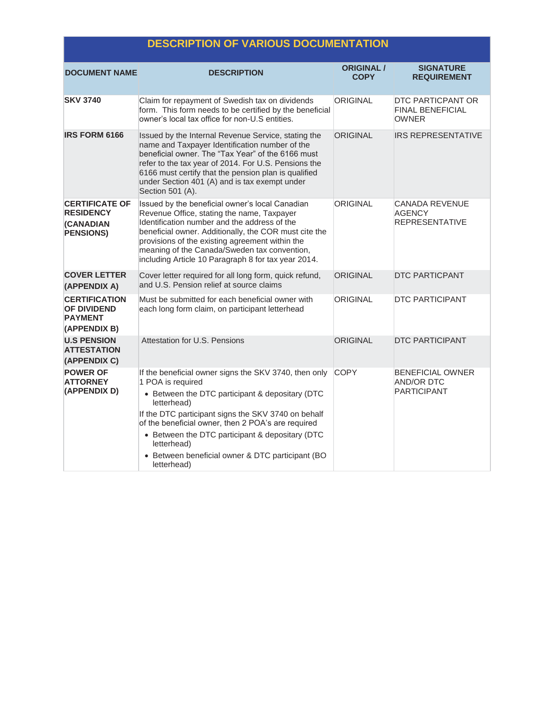# **DESCRIPTION OF VARIOUS DOCUMENTATION**

| <b>DOCUMENT NAME</b>                                                              | <b>DESCRIPTION</b>                                                                                                                                                                                                                                                                                                                                                                             | <b>ORIGINAL</b> /<br><b>COPY</b> | <b>SIGNATURE</b><br><b>REQUIREMENT</b>                             |  |
|-----------------------------------------------------------------------------------|------------------------------------------------------------------------------------------------------------------------------------------------------------------------------------------------------------------------------------------------------------------------------------------------------------------------------------------------------------------------------------------------|----------------------------------|--------------------------------------------------------------------|--|
| <b>SKV 3740</b>                                                                   | Claim for repayment of Swedish tax on dividends<br>form. This form needs to be certified by the beneficial<br>owner's local tax office for non-U.S entities.                                                                                                                                                                                                                                   | <b>ORIGINAL</b>                  | DTC PARTICPANT OR<br><b>FINAL BENEFICIAL</b><br><b>OWNER</b>       |  |
| <b>IRS FORM 6166</b>                                                              | Issued by the Internal Revenue Service, stating the<br>name and Taxpayer Identification number of the<br>beneficial owner. The "Tax Year" of the 6166 must<br>refer to the tax year of 2014. For U.S. Pensions the<br>6166 must certify that the pension plan is qualified<br>under Section 401 (A) and is tax exempt under<br>Section 501 (A).                                                | <b>ORIGINAL</b>                  | <b>IRS REPRESENTATIVE</b>                                          |  |
| <b>CERTIFICATE OF</b><br><b>RESIDENCY</b><br><b>(CANADIAN</b><br><b>PENSIONS)</b> | Issued by the beneficial owner's local Canadian<br>Revenue Office, stating the name, Taxpayer<br>Identification number and the address of the<br>beneficial owner. Additionally, the COR must cite the<br>provisions of the existing agreement within the<br>meaning of the Canada/Sweden tax convention,<br>including Article 10 Paragraph 8 for tax year 2014.                               | ORIGINAL                         | <b>CANADA REVENUE</b><br><b>AGENCY</b><br><b>REPRESENTATIVE</b>    |  |
| <b>COVER LETTER</b><br>(APPENDIX A)                                               | Cover letter required for all long form, quick refund,<br>and U.S. Pension relief at source claims                                                                                                                                                                                                                                                                                             | <b>ORIGINAL</b>                  | <b>DTC PARTICPANT</b>                                              |  |
| <b>CERTIFICATION</b><br><b>OF DIVIDEND</b><br><b>PAYMENT</b><br>(APPENDIX B)      | Must be submitted for each beneficial owner with<br>each long form claim, on participant letterhead                                                                                                                                                                                                                                                                                            | ORIGINAL                         | <b>DTC PARTICIPANT</b>                                             |  |
| <b>U.S PENSION</b><br><b>ATTESTATION</b><br>(APPENDIX C)                          | Attestation for U.S. Pensions                                                                                                                                                                                                                                                                                                                                                                  | <b>ORIGINAL</b>                  | <b>DTC PARTICIPANT</b>                                             |  |
| <b>POWER OF</b><br><b>ATTORNEY</b><br>(APPENDIX D)                                | If the beneficial owner signs the SKV 3740, then only<br>1 POA is required<br>• Between the DTC participant & depositary (DTC<br>letterhead)<br>If the DTC participant signs the SKV 3740 on behalf<br>of the beneficial owner, then 2 POA's are required<br>• Between the DTC participant & depositary (DTC<br>letterhead)<br>• Between beneficial owner & DTC participant (BO<br>letterhead) | <b>COPY</b>                      | <b>BENEFICIAL OWNER</b><br><b>AND/OR DTC</b><br><b>PARTICIPANT</b> |  |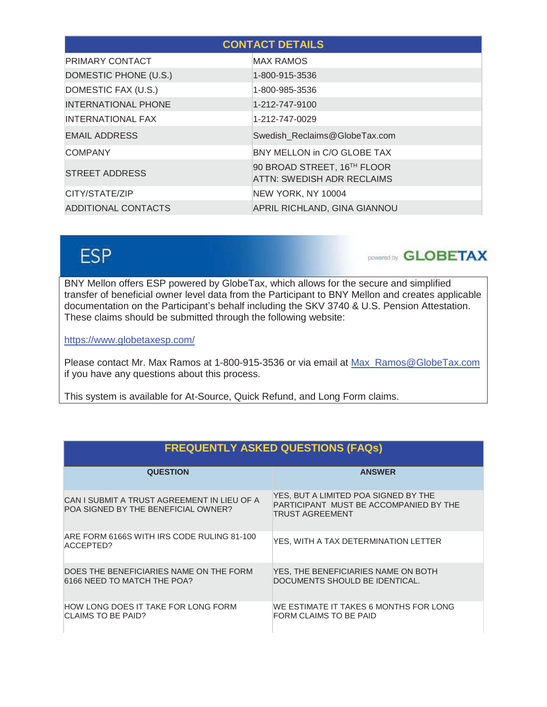| <b>CONTACT DETAILS</b>     |                                                           |  |  |
|----------------------------|-----------------------------------------------------------|--|--|
| <b>PRIMARY CONTACT</b>     | <b>MAX RAMOS</b>                                          |  |  |
| DOMESTIC PHONE (U.S.)      | 1-800-915-3536                                            |  |  |
| DOMESTIC FAX (U.S.)        | 1-800-985-3536                                            |  |  |
| <b>INTERNATIONAL PHONE</b> | 1-212-747-9100                                            |  |  |
| <b>INTERNATIONAL FAX</b>   | 1-212-747-0029                                            |  |  |
| <b>EMAIL ADDRESS</b>       | Swedish Reclaims@GlobeTax.com                             |  |  |
| <b>COMPANY</b>             | BNY MELLON in C/O GLOBE TAX                               |  |  |
| <b>STREET ADDRESS</b>      | 90 BROAD STREET, 16TH FLOOR<br>ATTN: SWEDISH ADR RECLAIMS |  |  |
| CITY/STATE/ZIP             | NEW YORK, NY 10004                                        |  |  |
| ADDITIONAL CONTACTS        | APRIL RICHLAND, GINA GIANNOU                              |  |  |

# **ESP**

DOWERED BLOBETAX

BNY Mellon offers ESP powered by GlobeTax, which allows for the secure and simplified transfer of beneficial owner level data from the Participant to BNY Mellon and creates applicable documentation on the Participant's behalf including the SKV 3740 & U.S. Pension Attestation. These claims should be submitted through the following website:

https://www.globetaxesp.com/

Please contact Mr. Max Ramos at 1-800-915-3536 or via email at Max\_Ramos@GlobeTax.com if you have any questions about this process.

This system is available for At-Source, Quick Refund, and Long Form claims.

| <b>FREQUENTLY ASKED QUESTIONS (FAQs)</b>                                           |                                                                                                          |  |  |
|------------------------------------------------------------------------------------|----------------------------------------------------------------------------------------------------------|--|--|
| <b>QUESTION</b>                                                                    | <b>ANSWER</b>                                                                                            |  |  |
| CAN I SUBMIT A TRUST AGREEMENT IN LIEU OF A<br>POA SIGNED BY THE BENEFICIAL OWNER? | YES, BUT A LIMITED POA SIGNED BY THE<br>PARTICIPANT MUST BE ACCOMPANIED BY THE<br><b>TRUST AGREEMENT</b> |  |  |
| ARE FORM 6166S WITH IRS CODE RULING 81-100<br>ACCEPTED?                            | YES, WITH A TAX DETERMINATION LETTER                                                                     |  |  |
| DOES THE BENEFICIARIES NAME ON THE FORM<br>6166 NEED TO MATCH THE POA?             | YES, THE BENEFICIARIES NAME ON BOTH<br>DOCUMENTS SHOULD BE IDENTICAL.                                    |  |  |
| HOW LONG DOES IT TAKE FOR LONG FORM<br>CLAIMS TO BE PAID?                          | WE ESTIMATE IT TAKES 6 MONTHS FOR LONG<br>FORM CLAIMS TO BE PAID                                         |  |  |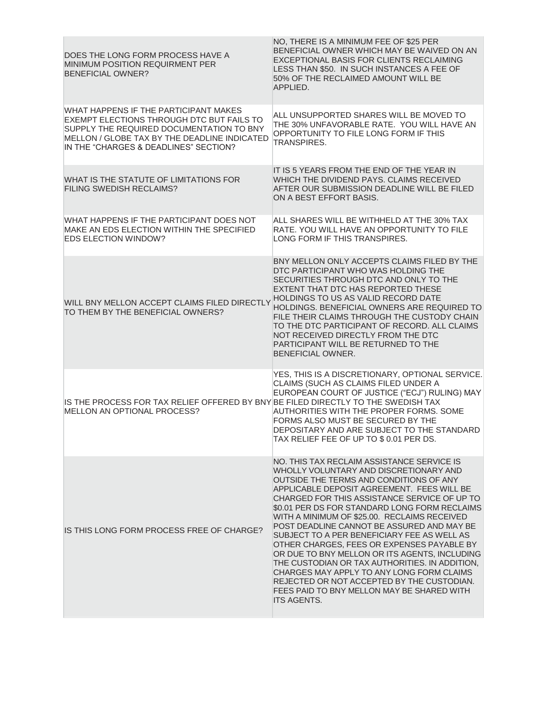| DOES THE LONG FORM PROCESS HAVE A<br><b>MINIMUM POSITION REQUIRMENT PER</b><br><b>BENEFICIAL OWNER?</b>                                                                                                                 | NO, THERE IS A MINIMUM FEE OF \$25 PER<br>BENEFICIAL OWNER WHICH MAY BE WAIVED ON AN<br>EXCEPTIONAL BASIS FOR CLIENTS RECLAIMING<br>LESS THAN \$50. IN SUCH INSTANCES A FEE OF<br>50% OF THE RECLAIMED AMOUNT WILL BE<br>APPLIED.                                                                                                                                                                                                                                                                                                                                                                                                                                                                                                           |
|-------------------------------------------------------------------------------------------------------------------------------------------------------------------------------------------------------------------------|---------------------------------------------------------------------------------------------------------------------------------------------------------------------------------------------------------------------------------------------------------------------------------------------------------------------------------------------------------------------------------------------------------------------------------------------------------------------------------------------------------------------------------------------------------------------------------------------------------------------------------------------------------------------------------------------------------------------------------------------|
| WHAT HAPPENS IF THE PARTICIPANT MAKES<br>EXEMPT ELECTIONS THROUGH DTC BUT FAILS TO<br>SUPPLY THE REQUIRED DOCUMENTATION TO BNY<br>MELLON / GLOBE TAX BY THE DEADLINE INDICATED<br>IN THE "CHARGES & DEADLINES" SECTION? | ALL UNSUPPORTED SHARES WILL BE MOVED TO<br>THE 30% UNFAVORABLE RATE. YOU WILL HAVE AN<br>OPPORTUNITY TO FILE LONG FORM IF THIS<br><b>TRANSPIRES.</b>                                                                                                                                                                                                                                                                                                                                                                                                                                                                                                                                                                                        |
| WHAT IS THE STATUTE OF LIMITATIONS FOR<br><b>FILING SWEDISH RECLAIMS?</b>                                                                                                                                               | IT IS 5 YEARS FROM THE END OF THE YEAR IN<br>WHICH THE DIVIDEND PAYS, CLAIMS RECEIVED<br>AFTER OUR SUBMISSION DEADLINE WILL BE FILED<br>ON A BEST EFFORT BASIS.                                                                                                                                                                                                                                                                                                                                                                                                                                                                                                                                                                             |
| WHAT HAPPENS IF THE PARTICIPANT DOES NOT<br>MAKE AN EDS ELECTION WITHIN THE SPECIFIED<br><b>EDS ELECTION WINDOW?</b>                                                                                                    | ALL SHARES WILL BE WITHHELD AT THE 30% TAX<br>RATE, YOU WILL HAVE AN OPPORTUNITY TO FILE<br>LONG FORM IF THIS TRANSPIRES.                                                                                                                                                                                                                                                                                                                                                                                                                                                                                                                                                                                                                   |
| WILL BNY MELLON ACCEPT CLAIMS FILED DIRECTLY<br>TO THEM BY THE BENEFICIAL OWNERS?                                                                                                                                       | BNY MELLON ONLY ACCEPTS CLAIMS FILED BY THE<br>DTC PARTICIPANT WHO WAS HOLDING THE<br>SECURITIES THROUGH DTC AND ONLY TO THE<br>EXTENT THAT DTC HAS REPORTED THESE<br>HOLDINGS TO US AS VALID RECORD DATE<br>HOLDINGS. BENEFICIAL OWNERS ARE REQUIRED TO<br>FILE THEIR CLAIMS THROUGH THE CUSTODY CHAIN<br>TO THE DTC PARTICIPANT OF RECORD. ALL CLAIMS<br>NOT RECEIVED DIRECTLY FROM THE DTC<br>PARTICIPANT WILL BE RETURNED TO THE<br>BENEFICIAL OWNER.                                                                                                                                                                                                                                                                                   |
| IS THE PROCESS FOR TAX RELIEF OFFERED BY BNY BE FILED DIRECTLY TO THE SWEDISH TAX<br>MELLON AN OPTIONAL PROCESS?                                                                                                        | YES, THIS IS A DISCRETIONARY, OPTIONAL SERVICE.<br>CLAIMS (SUCH AS CLAIMS FILED UNDER A<br>EUROPEAN COURT OF JUSTICE ("ECJ") RULING) MAY<br>AUTHORITIES WITH THE PROPER FORMS. SOME<br>FORMS ALSO MUST BE SECURED BY THE<br>DEPOSITARY AND ARE SUBJECT TO THE STANDARD<br>TAX RELIEF FEE OF UP TO \$0.01 PER DS.                                                                                                                                                                                                                                                                                                                                                                                                                            |
| IS THIS LONG FORM PROCESS FREE OF CHARGE?                                                                                                                                                                               | NO. THIS TAX RECLAIM ASSISTANCE SERVICE IS<br>WHOLLY VOLUNTARY AND DISCRETIONARY AND<br>OUTSIDE THE TERMS AND CONDITIONS OF ANY<br>APPLICABLE DEPOSIT AGREEMENT. FEES WILL BE<br>CHARGED FOR THIS ASSISTANCE SERVICE OF UP TO<br>\$0.01 PER DS FOR STANDARD LONG FORM RECLAIMS<br>WITH A MINIMUM OF \$25.00. RECLAIMS RECEIVED<br>POST DEADLINE CANNOT BE ASSURED AND MAY BE<br>SUBJECT TO A PER BENEFICIARY FEE AS WELL AS<br>OTHER CHARGES, FEES OR EXPENSES PAYABLE BY<br>OR DUE TO BNY MELLON OR ITS AGENTS, INCLUDING<br>THE CUSTODIAN OR TAX AUTHORITIES. IN ADDITION,<br>CHARGES MAY APPLY TO ANY LONG FORM CLAIMS<br>REJECTED OR NOT ACCEPTED BY THE CUSTODIAN.<br>FEES PAID TO BNY MELLON MAY BE SHARED WITH<br><b>ITS AGENTS.</b> |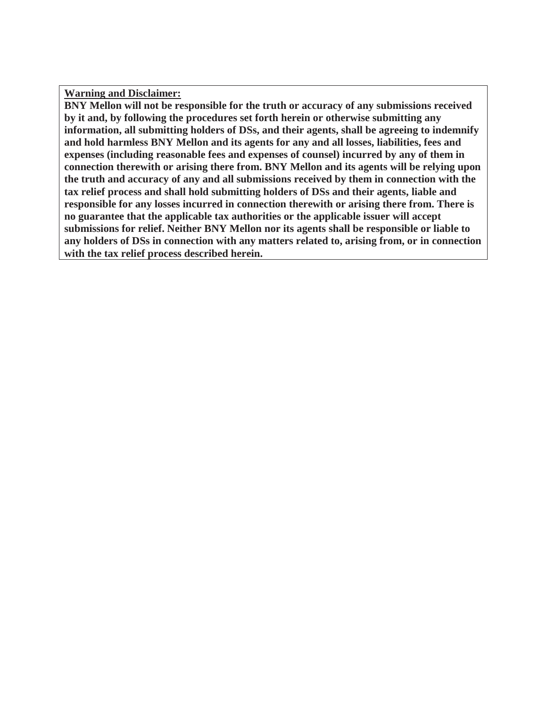**Warning and Disclaimer:** 

**BNY Mellon will not be responsible for the truth or accuracy of any submissions received by it and, by following the procedures set forth herein or otherwise submitting any information, all submitting holders of DSs, and their agents, shall be agreeing to indemnify and hold harmless BNY Mellon and its agents for any and all losses, liabilities, fees and expenses (including reasonable fees and expenses of counsel) incurred by any of them in connection therewith or arising there from. BNY Mellon and its agents will be relying upon the truth and accuracy of any and all submissions received by them in connection with the tax relief process and shall hold submitting holders of DSs and their agents, liable and responsible for any losses incurred in connection therewith or arising there from. There is no guarantee that the applicable tax authorities or the applicable issuer will accept submissions for relief. Neither BNY Mellon nor its agents shall be responsible or liable to any holders of DSs in connection with any matters related to, arising from, or in connection with the tax relief process described herein.**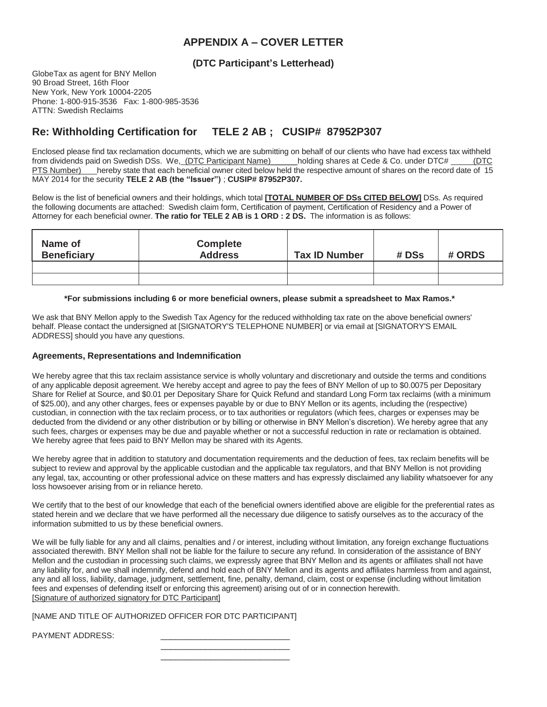# **APPENDIX A – COVER LETTER**

## **(DTC Participant's Letterhead)**

GlobeTax as agent for BNY Mellon 90 Broad Street, 16th Floor New York, New York 10004-2205 Phone: 1-800-915-3536 Fax: 1-800-985-3536 ATTN: Swedish Reclaims

# **Re: Withholding Certification for TELE 2 AB ; CUSIP# 87952P307**

Enclosed please find tax reclamation documents, which we are submitting on behalf of our clients who have had excess tax withheld from dividends paid on Swedish DSs. We, (DTC Participant Name) \_\_\_\_\_holding shares at Cede & Co. under DTC# \_\_\_\_\_(DTC PTS Number) hereby state that each beneficial owner cited below held the respective amount of shares on the record date of 15 MAY 2014 for the security **TELE 2 AB (the "Issuer")** ; **CUSIP# 87952P307.**

Below is the list of beneficial owners and their holdings, which total **[TOTAL NUMBER OF DSs CITED BELOW]** DSs. As required the following documents are attached: Swedish claim form, Certification of payment, Certification of Residency and a Power of Attorney for each beneficial owner. **The ratio for TELE 2 AB is 1 ORD : 2 DS.** The information is as follows:

| Name of<br><b>Beneficiary</b> | <b>Complete</b><br><b>Address</b> | <b>Tax ID Number</b> | # DSs | # ORDS |
|-------------------------------|-----------------------------------|----------------------|-------|--------|
|                               |                                   |                      |       |        |
|                               |                                   |                      |       |        |

#### **\*For submissions including 6 or more beneficial owners, please submit a spreadsheet to Max Ramos.\***

We ask that BNY Mellon apply to the Swedish Tax Agency for the reduced withholding tax rate on the above beneficial owners' behalf. Please contact the undersigned at [SIGNATORY'S TELEPHONE NUMBER] or via email at [SIGNATORY'S EMAIL ADDRESS] should you have any questions.

#### **Agreements, Representations and Indemnification**

We hereby agree that this tax reclaim assistance service is wholly voluntary and discretionary and outside the terms and conditions of any applicable deposit agreement. We hereby accept and agree to pay the fees of BNY Mellon of up to \$0.0075 per Depositary Share for Relief at Source, and \$0.01 per Depositary Share for Quick Refund and standard Long Form tax reclaims (with a minimum of \$25.00), and any other charges, fees or expenses payable by or due to BNY Mellon or its agents, including the (respective) custodian, in connection with the tax reclaim process, or to tax authorities or regulators (which fees, charges or expenses may be deducted from the dividend or any other distribution or by billing or otherwise in BNY Mellon's discretion). We hereby agree that any such fees, charges or expenses may be due and payable whether or not a successful reduction in rate or reclamation is obtained. We hereby agree that fees paid to BNY Mellon may be shared with its Agents.

We hereby agree that in addition to statutory and documentation requirements and the deduction of fees, tax reclaim benefits will be subject to review and approval by the applicable custodian and the applicable tax regulators, and that BNY Mellon is not providing any legal, tax, accounting or other professional advice on these matters and has expressly disclaimed any liability whatsoever for any loss howsoever arising from or in reliance hereto.

We certify that to the best of our knowledge that each of the beneficial owners identified above are eligible for the preferential rates as stated herein and we declare that we have performed all the necessary due diligence to satisfy ourselves as to the accuracy of the information submitted to us by these beneficial owners.

We will be fully liable for any and all claims, penalties and / or interest, including without limitation, any foreign exchange fluctuations associated therewith. BNY Mellon shall not be liable for the failure to secure any refund. In consideration of the assistance of BNY Mellon and the custodian in processing such claims, we expressly agree that BNY Mellon and its agents or affiliates shall not have any liability for, and we shall indemnify, defend and hold each of BNY Mellon and its agents and affiliates harmless from and against, any and all loss, liability, damage, judgment, settlement, fine, penalty, demand, claim, cost or expense (including without limitation fees and expenses of defending itself or enforcing this agreement) arising out of or in connection herewith. [Signature of authorized signatory for DTC Participant]

#### [NAME AND TITLE OF AUTHORIZED OFFICER FOR DTC PARTICIPANT]

PAYMENT ADDRESS:

 $\frac{1}{\sqrt{2}}$  ,  $\frac{1}{\sqrt{2}}$  ,  $\frac{1}{\sqrt{2}}$  ,  $\frac{1}{\sqrt{2}}$  ,  $\frac{1}{\sqrt{2}}$  ,  $\frac{1}{\sqrt{2}}$  ,  $\frac{1}{\sqrt{2}}$  ,  $\frac{1}{\sqrt{2}}$  ,  $\frac{1}{\sqrt{2}}$  ,  $\frac{1}{\sqrt{2}}$  ,  $\frac{1}{\sqrt{2}}$  ,  $\frac{1}{\sqrt{2}}$  ,  $\frac{1}{\sqrt{2}}$  ,  $\frac{1}{\sqrt{2}}$  ,  $\frac{1}{\sqrt{2}}$  $\frac{1}{\sqrt{2}}$  ,  $\frac{1}{\sqrt{2}}$  ,  $\frac{1}{\sqrt{2}}$  ,  $\frac{1}{\sqrt{2}}$  ,  $\frac{1}{\sqrt{2}}$  ,  $\frac{1}{\sqrt{2}}$  ,  $\frac{1}{\sqrt{2}}$  ,  $\frac{1}{\sqrt{2}}$  ,  $\frac{1}{\sqrt{2}}$  ,  $\frac{1}{\sqrt{2}}$  ,  $\frac{1}{\sqrt{2}}$  ,  $\frac{1}{\sqrt{2}}$  ,  $\frac{1}{\sqrt{2}}$  ,  $\frac{1}{\sqrt{2}}$  ,  $\frac{1}{\sqrt{2}}$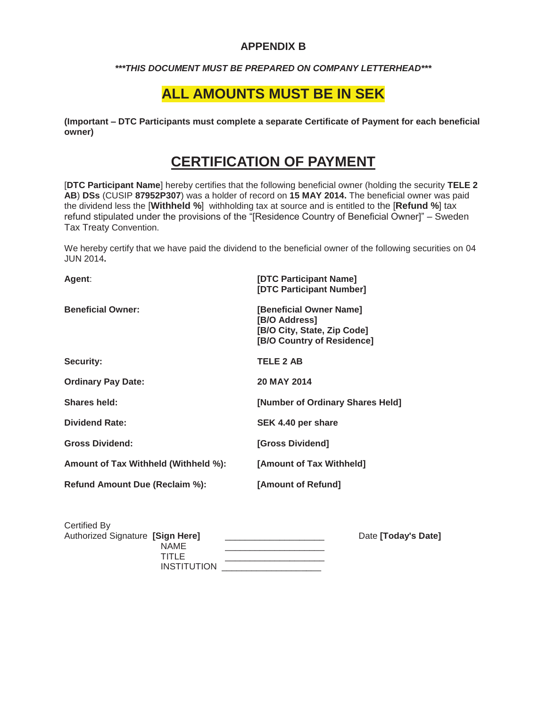# **APPENDIX B**

## *\*\*\*THIS DOCUMENT MUST BE PREPARED ON COMPANY LETTERHEAD\*\*\**

# **ALL AMOUNTS MUST BE IN SEK**

**(Important – DTC Participants must complete a separate Certificate of Payment for each beneficial owner)**

# **CERTIFICATION OF PAYMENT**

[**DTC Participant Name**] hereby certifies that the following beneficial owner (holding the security **TELE 2 AB**) **DSs** (CUSIP **87952P307**) was a holder of record on **15 MAY 2014.** The beneficial owner was paid the dividend less the [**Withheld %**] withholding tax at source and is entitled to the [**Refund %**] tax refund stipulated under the provisions of the "[Residence Country of Beneficial Owner]" – Sweden Tax Treaty Convention.

We hereby certify that we have paid the dividend to the beneficial owner of the following securities on 04 JUN 2014**.**

| Agent:                               | [DTC Participant Name]<br>[DTC Participant Number]                                                    |
|--------------------------------------|-------------------------------------------------------------------------------------------------------|
| <b>Beneficial Owner:</b>             | [Beneficial Owner Name]<br>[B/O Address]<br>[B/O City, State, Zip Code]<br>[B/O Country of Residence] |
| <b>Security:</b>                     | <b>TELE 2 AB</b>                                                                                      |
| <b>Ordinary Pay Date:</b>            | 20 MAY 2014                                                                                           |
| <b>Shares held:</b>                  | [Number of Ordinary Shares Held]                                                                      |
| <b>Dividend Rate:</b>                | SEK 4.40 per share                                                                                    |
| <b>Gross Dividend:</b>               | [Gross Dividend]                                                                                      |
| Amount of Tax Withheld (Withheld %): | [Amount of Tax Withheld]                                                                              |
| Refund Amount Due (Reclaim %):       | [Amount of Refund]                                                                                    |
|                                      |                                                                                                       |

| Certified By                     |                    |                     |
|----------------------------------|--------------------|---------------------|
| Authorized Signature [Sign Here] |                    | Date [Today's Date] |
|                                  | <b>NAME</b>        |                     |
|                                  | TITLE              |                     |
|                                  | <b>INSTITUTION</b> |                     |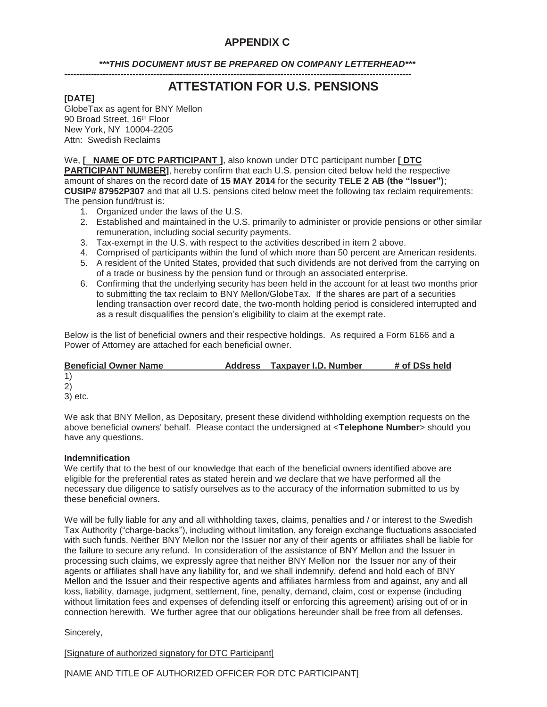# **APPENDIX C**

## *\*\*\*THIS DOCUMENT MUST BE PREPARED ON COMPANY LETTERHEAD\*\*\**

**---------------------------------------------------------------------------------------------------------------------** 

# **ATTESTATION FOR U.S. PENSIONS**

## **[DATE]**

GlobeTax as agent for BNY Mellon 90 Broad Street, 16<sup>th</sup> Floor New York, NY 10004-2205 Attn: Swedish Reclaims

We, **[ NAME OF DTC PARTICIPANT ]**, also known under DTC participant number **[ DTC PARTICIPANT NUMBER]**, hereby confirm that each U.S. pension cited below held the respective amount of shares on the record date of **15 MAY 2014** for the security **TELE 2 AB (the "Issuer")**; **CUSIP# 87952P307** and that all U.S. pensions cited below meet the following tax reclaim requirements: The pension fund/trust is:

- 1. Organized under the laws of the U.S.
- 2. Established and maintained in the U.S. primarily to administer or provide pensions or other similar remuneration, including social security payments.
- 3. Tax-exempt in the U.S. with respect to the activities described in item 2 above.
- 4. Comprised of participants within the fund of which more than 50 percent are American residents.
- 5. A resident of the United States, provided that such dividends are not derived from the carrying on of a trade or business by the pension fund or through an associated enterprise.
- 6. Confirming that the underlying security has been held in the account for at least two months prior to submitting the tax reclaim to BNY Mellon/GlobeTax. If the shares are part of a securities lending transaction over record date, the two-month holding period is considered interrupted and as a result disqualifies the pension's eligibility to claim at the exempt rate.

Below is the list of beneficial owners and their respective holdings. As required a Form 6166 and a Power of Attorney are attached for each beneficial owner.

| <b>Beneficial Owner Name</b> | Address | Taxpayer I.D. Number | # of DSs held |  |
|------------------------------|---------|----------------------|---------------|--|
| 1)                           |         |                      |               |  |
| 2)                           |         |                      |               |  |
| 3) etc.                      |         |                      |               |  |
| $\cdots$ $\cdots$<br>$\sim$  |         |                      | .             |  |

We ask that BNY Mellon, as Depositary, present these dividend withholding exemption requests on the above beneficial owners' behalf. Please contact the undersigned at <**Telephone Number**> should you have any questions.

#### **Indemnification**

We certify that to the best of our knowledge that each of the beneficial owners identified above are eligible for the preferential rates as stated herein and we declare that we have performed all the necessary due diligence to satisfy ourselves as to the accuracy of the information submitted to us by these beneficial owners.

We will be fully liable for any and all withholding taxes, claims, penalties and / or interest to the Swedish Tax Authority ("charge-backs"), including without limitation, any foreign exchange fluctuations associated with such funds. Neither BNY Mellon nor the Issuer nor any of their agents or affiliates shall be liable for the failure to secure any refund. In consideration of the assistance of BNY Mellon and the Issuer in processing such claims, we expressly agree that neither BNY Mellon nor the Issuer nor any of their agents or affiliates shall have any liability for, and we shall indemnify, defend and hold each of BNY Mellon and the Issuer and their respective agents and affiliates harmless from and against, any and all loss, liability, damage, judgment, settlement, fine, penalty, demand, claim, cost or expense (including without limitation fees and expenses of defending itself or enforcing this agreement) arising out of or in connection herewith. We further agree that our obligations hereunder shall be free from all defenses.

## Sincerely,

[Signature of authorized signatory for DTC Participant]

[NAME AND TITLE OF AUTHORIZED OFFICER FOR DTC PARTICIPANT]